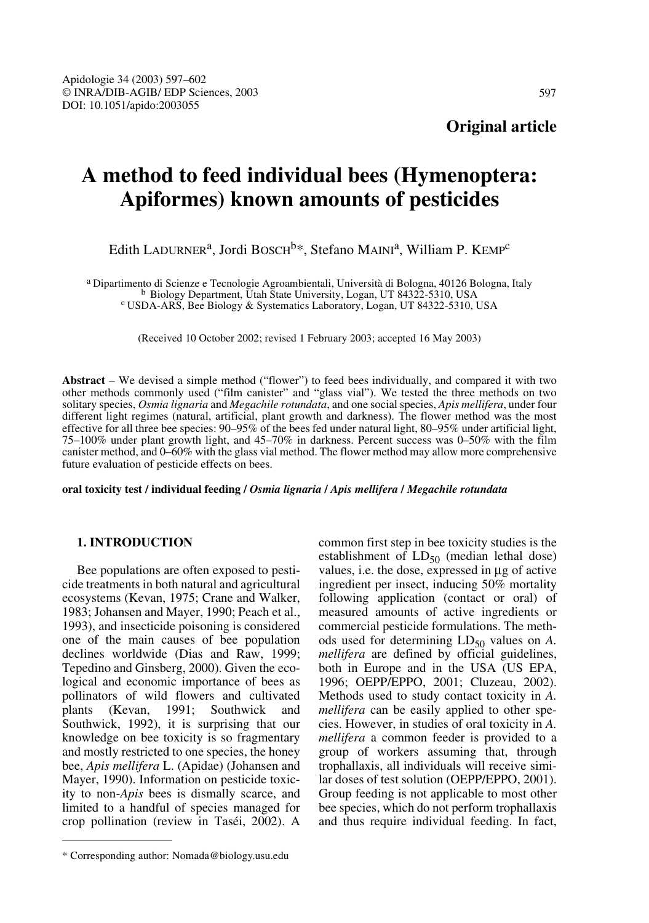# **A method to feed individual bees (Hymenoptera: Apiformes) known amounts of pesticides**

Edith LADURNER<sup>a</sup>, Jordi BOSCH<sup>b\*</sup>, Stefano MAINI<sup>a</sup>, William P. KEMP<sup>c</sup>

<sup>a</sup> Dipartimento di Scienze e Tecnologie Agroambientali, Università di Bologna, 40126 Bologna, Italy<br><sup>b</sup> Biology Department, Utah State University, Logan, UT 84322-5310, USA<br><sup>c</sup> USDA-ARS, Bee Biology & Systematics Laborato

(Received 10 October 2002; revised 1 February 2003; accepted 16 May 2003)

**Abstract** – We devised a simple method ("flower") to feed bees individually, and compared it with two other methods commonly used ("film canister" and "glass vial"). We tested the three methods on two solitary species, *Osmia lignaria* and *Megachile rotundata*, and one social species, *Apis mellifera*, under four different light regimes (natural, artificial, plant growth and darkness). The flower method was the most effective for all three bee species: 90–95% of the bees fed under natural light, 80–95% under artificial light, 75–100% under plant growth light, and 45–70% in darkness. Percent success was 0–50% with the film canister method, and 0–60% with the glass vial method. The flower method may allow more comprehensive future evaluation of pesticide effects on bees.

**oral toxicity test / individual feeding /** *Osmia lignaria* **/** *Apis mellifera* **/** *Megachile rotundata*

## **1. INTRODUCTION**

Bee populations are often exposed to pesticide treatments in both natural and agricultural ecosystems (Kevan, 1975; Crane and Walker, 1983; Johansen and Mayer, 1990; Peach et al., 1993), and insecticide poisoning is considered one of the main causes of bee population declines worldwide (Dias and Raw, 1999; Tepedino and Ginsberg, 2000). Given the ecological and economic importance of bees as pollinators of wild flowers and cultivated plants (Kevan, 1991; Southwick and Southwick, 1992), it is surprising that our knowledge on bee toxicity is so fragmentary and mostly restricted to one species, the honey bee, *Apis mellifera* L. (Apidae) (Johansen and Mayer, 1990). Information on pesticide toxicity to non-*Apis* bees is dismally scarce, and limited to a handful of species managed for crop pollination (review in Taséi, 2002). A common first step in bee toxicity studies is the establishment of  $LD_{50}$  (median lethal dose) values, i.e. the dose, expressed in µg of active ingredient per insect, inducing 50% mortality following application (contact or oral) of measured amounts of active ingredients or commercial pesticide formulations. The methods used for determining  $LD_{50}$  values on A. *mellifera* are defined by official guidelines, both in Europe and in the USA (US EPA, 1996; OEPP/EPPO, 2001; Cluzeau, 2002). Methods used to study contact toxicity in *A. mellifera* can be easily applied to other species. However, in studies of oral toxicity in *A. mellifera* a common feeder is provided to a group of workers assuming that, through trophallaxis, all individuals will receive similar doses of test solution (OEPP/EPPO, 2001). Group feeding is not applicable to most other bee species, which do not perform trophallaxis and thus require individual feeding. In fact,

<sup>\*</sup> Corresponding author: Nomada@biology.usu.edu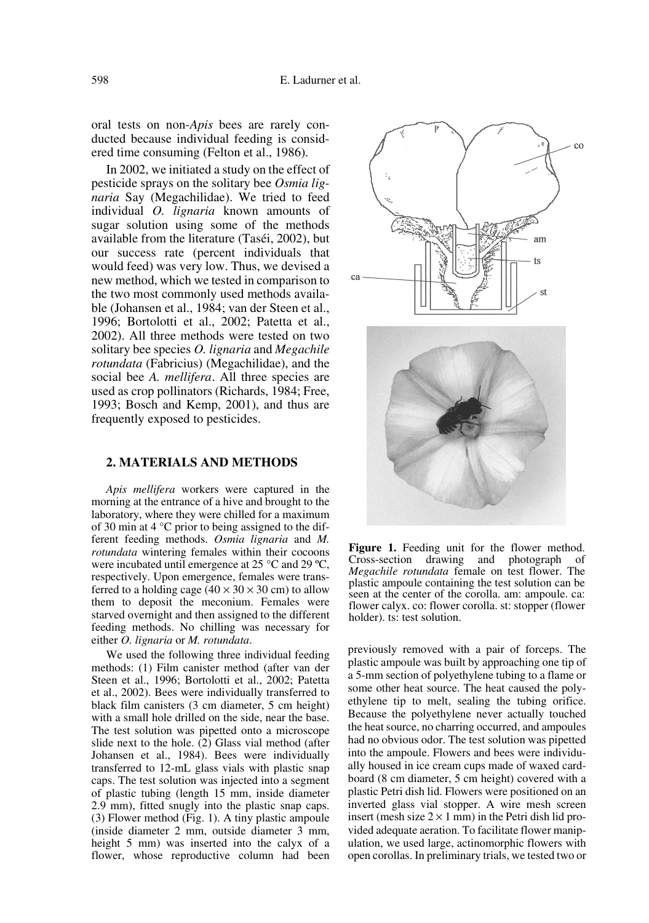oral tests on non-*Apis* bees are rarely conducted because individual feeding is considered time consuming (Felton et al., 1986).

In 2002, we initiated a study on the effect of pesticide sprays on the solitary bee *Osmia lignaria* Say (Megachilidae). We tried to feed individual *O. lignaria* known amounts of sugar solution using some of the methods available from the literature (Taséi, 2002), but our success rate (percent individuals that would feed) was very low. Thus, we devised a new method, which we tested in comparison to the two most commonly used methods available (Johansen et al., 1984; van der Steen et al., 1996; Bortolotti et al., 2002; Patetta et al., 2002). All three methods were tested on two solitary bee species *O. lignaria* and *Megachile rotundata* (Fabricius) (Megachilidae), and the social bee *A. mellifera*. All three species are used as crop pollinators (Richards, 1984; Free, 1993; Bosch and Kemp, 2001), and thus are frequently exposed to pesticides.

#### **2. MATERIALS AND METHODS**

*Apis mellifera* workers were captured in the morning at the entrance of a hive and brought to the laboratory, where they were chilled for a maximum of 30 min at 4 °C prior to being assigned to the different feeding methods. *Osmia lignaria* and *M. rotundata* wintering females within their cocoons were incubated until emergence at 25 °C and 29 ºC, respectively. Upon emergence, females were transferred to a holding cage  $(40 \times 30 \times 30 \text{ cm})$  to allow them to deposit the meconium. Females were starved overnight and then assigned to the different feeding methods. No chilling was necessary for either *O. lignaria* or *M. rotundata*.

We used the following three individual feeding methods: (1) Film canister method (after van der Steen et al., 1996; Bortolotti et al., 2002; Patetta et al., 2002). Bees were individually transferred to black film canisters (3 cm diameter, 5 cm height) with a small hole drilled on the side, near the base. The test solution was pipetted onto a microscope slide next to the hole. (2) Glass vial method (after Johansen et al., 1984). Bees were individually transferred to 12-mL glass vials with plastic snap caps. The test solution was injected into a segment of plastic tubing (length 15 mm, inside diameter 2.9 mm), fitted snugly into the plastic snap caps. (3) Flower method (Fig. 1). A tiny plastic ampoule (inside diameter 2 mm, outside diameter 3 mm, height 5 mm) was inserted into the calyx of a flower, whose reproductive column had been



**Figure 1.** Feeding unit for the flower method. Cross-section drawing and photograph of *Megachile rotundata* female on test flower. The plastic ampoule containing the test solution can be seen at the center of the corolla. am: ampoule. ca: flower calyx. co: flower corolla. st: stopper (flower holder). ts: test solution.

previously removed with a pair of forceps. The plastic ampoule was built by approaching one tip of a 5-mm section of polyethylene tubing to a flame or some other heat source. The heat caused the polyethylene tip to melt, sealing the tubing orifice. Because the polyethylene never actually touched the heat source, no charring occurred, and ampoules had no obvious odor. The test solution was pipetted into the ampoule. Flowers and bees were individually housed in ice cream cups made of waxed cardboard (8 cm diameter, 5 cm height) covered with a plastic Petri dish lid. Flowers were positioned on an inverted glass vial stopper. A wire mesh screen insert (mesh size  $2 \times 1$  mm) in the Petri dish lid provided adequate aeration. To facilitate flower manipulation, we used large, actinomorphic flowers with open corollas. In preliminary trials, we tested two or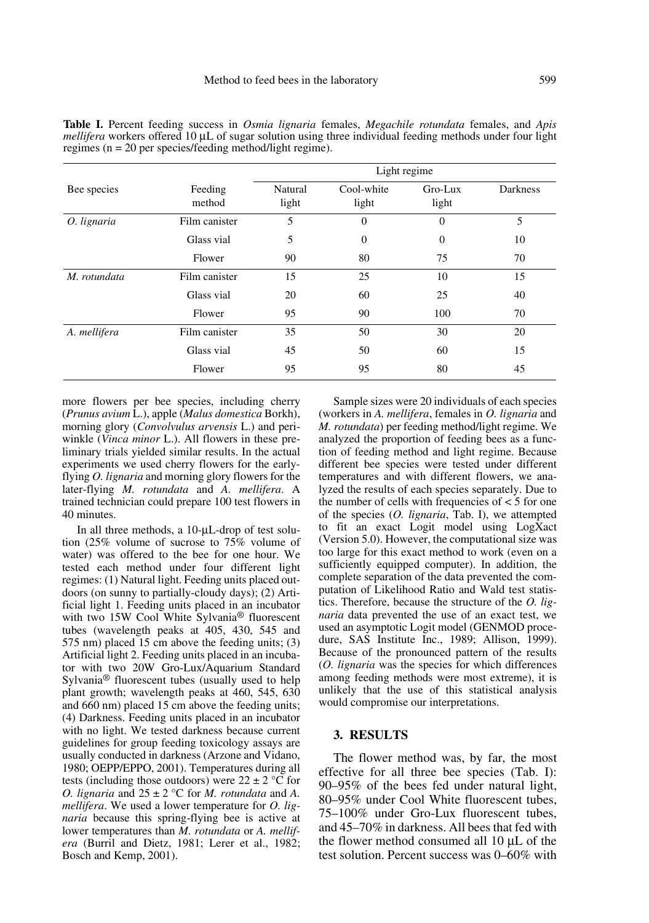|              |                   | Light regime     |                     |                  |          |
|--------------|-------------------|------------------|---------------------|------------------|----------|
| Bee species  | Feeding<br>method | Natural<br>light | Cool-white<br>light | Gro-Lux<br>light | Darkness |
| O. lignaria  | Film canister     | 5                | $\Omega$            | $\Omega$         | 5        |
|              | Glass vial        | 5                | $\theta$            | $\Omega$         | 10       |
|              | Flower            | 90               | 80                  | 75               | 70       |
| M. rotundata | Film canister     | 15               | 25                  | 10               | 15       |
|              | Glass vial        | 20               | 60                  | 25               | 40       |
|              | Flower            | 95               | 90                  | 100              | 70       |
| A. mellifera | Film canister     | 35               | 50                  | 30               | 20       |
|              | Glass vial        | 45               | 50                  | 60               | 15       |
|              | Flower            | 95               | 95                  | 80               | 45       |

**Table I.** Percent feeding success in *Osmia lignaria* females, *Megachile rotundata* females, and *Apis mellifera* workers offered 10 µL of sugar solution using three individual feeding methods under four light regimes (n = 20 per species/feeding method/light regime).

more flowers per bee species, including cherry (*Prunus avium* L.), apple (*Malus domestica* Borkh), morning glory (*Convolvulus arvensis* L.) and periwinkle (*Vinca minor* L.). All flowers in these preliminary trials yielded similar results. In the actual experiments we used cherry flowers for the earlyflying *O. lignaria* and morning glory flowers for the later-flying *M. rotundata* and *A. mellifera*. A trained technician could prepare 100 test flowers in 40 minutes.

In all three methods, a 10-µL-drop of test solution (25% volume of sucrose to 75% volume of water) was offered to the bee for one hour. We tested each method under four different light regimes: (1) Natural light. Feeding units placed outdoors (on sunny to partially-cloudy days); (2) Artificial light 1. Feeding units placed in an incubator with two 15W Cool White Sylvania<sup>®</sup> fluorescent tubes (wavelength peaks at 405, 430, 545 and 575 nm) placed 15 cm above the feeding units; (3) Artificial light 2. Feeding units placed in an incubator with two 20W Gro-Lux/Aquarium Standard Sylvania® fluorescent tubes (usually used to help plant growth; wavelength peaks at 460, 545, 630 and 660 nm) placed 15 cm above the feeding units; (4) Darkness. Feeding units placed in an incubator with no light. We tested darkness because current guidelines for group feeding toxicology assays are usually conducted in darkness (Arzone and Vidano, 1980; OEPP/EPPO, 2001). Temperatures during all tests (including those outdoors) were  $22 \pm 2$  °C for *O. lignaria* and  $25 \pm 2$  °C for *M. rotundata* and *A. mellifera*. We used a lower temperature for *O. lignaria* because this spring-flying bee is active at lower temperatures than *M. rotundata* or *A. mellifera* (Burril and Dietz, 1981; Lerer et al., 1982; Bosch and Kemp, 2001).

Sample sizes were 20 individuals of each species (workers in *A. mellifera*, females in *O. lignaria* and *M. rotundata*) per feeding method/light regime. We analyzed the proportion of feeding bees as a function of feeding method and light regime. Because different bee species were tested under different temperatures and with different flowers, we analyzed the results of each species separately. Due to the number of cells with frequencies of  $<$  5 for one of the species (*O. lignaria*, Tab. I), we attempted to fit an exact Logit model using LogXact (Version 5.0). However, the computational size was too large for this exact method to work (even on a sufficiently equipped computer). In addition, the complete separation of the data prevented the computation of Likelihood Ratio and Wald test statistics. Therefore, because the structure of the *O. lignaria* data prevented the use of an exact test, we used an asymptotic Logit model (GENMOD procedure, SAS Institute Inc., 1989; Allison, 1999). Because of the pronounced pattern of the results (*O. lignaria* was the species for which differences among feeding methods were most extreme), it is unlikely that the use of this statistical analysis would compromise our interpretations.

#### **3. RESULTS**

The flower method was, by far, the most effective for all three bee species (Tab. I): 90–95% of the bees fed under natural light, 80–95% under Cool White fluorescent tubes, 75–100% under Gro-Lux fluorescent tubes, and 45–70% in darkness. All bees that fed with the flower method consumed all 10 µL of the test solution. Percent success was 0–60% with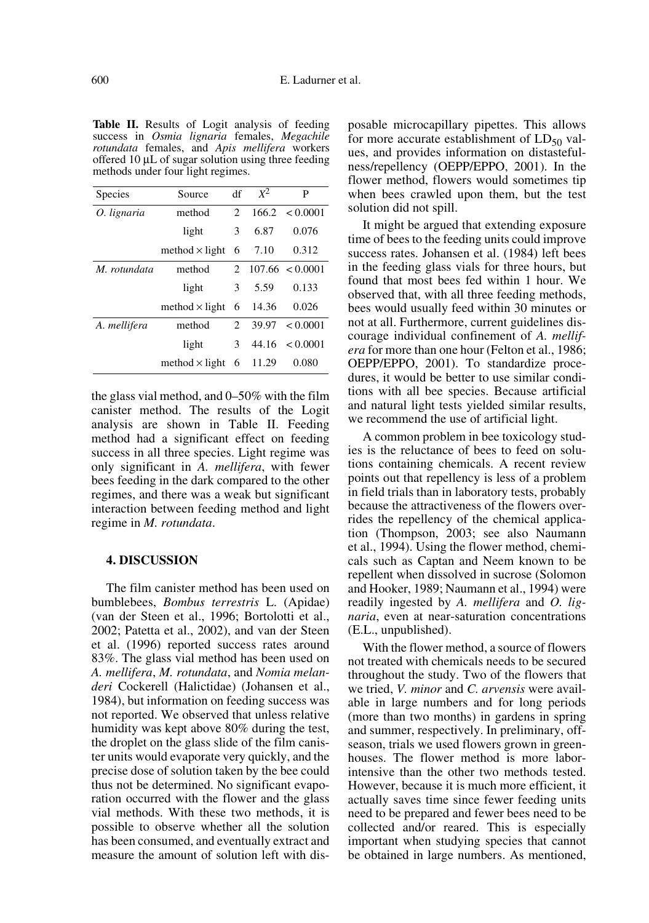**Table II.** Results of Logit analysis of feeding success in *Osmia lignaria* females, *Megachile rotundata* females, and *Apis mellifera* workers offered 10 µL of sugar solution using three feeding methods under four light regimes.

| Species      | Source                | df             | $X^2$   | P                         |
|--------------|-----------------------|----------------|---------|---------------------------|
| O. lignaria  | method                | 2              | 166.2   | < 0.0001                  |
|              | light                 | 3              | 6.87    | 0.076                     |
|              | method $\times$ light | 6              | 7.10    | 0.312                     |
| M. rotundata | method                |                |         | $2\quad107.66\leq 0.0001$ |
|              | light                 | 3              | 5.59    | 0.133                     |
|              | method $\times$ light | -6             | - 14.36 | 0.026                     |
| A. mellifera | method                | $\mathfrak{D}$ | 39.97   | < 0.0001                  |
|              | light                 | 3              |         | $44.16 \le 0.0001$        |
|              | method $\times$ light | 6              | 11.29   | 0.080                     |

the glass vial method, and 0–50% with the film canister method. The results of the Logit analysis are shown in Table II. Feeding method had a significant effect on feeding success in all three species. Light regime was only significant in *A. mellifera*, with fewer bees feeding in the dark compared to the other regimes, and there was a weak but significant interaction between feeding method and light regime in *M. rotundata*.

#### **4. DISCUSSION**

The film canister method has been used on bumblebees, *Bombus terrestris* L. (Apidae) (van der Steen et al., 1996; Bortolotti et al., 2002; Patetta et al., 2002), and van der Steen et al. (1996) reported success rates around 83%. The glass vial method has been used on *A. mellifera*, *M. rotundata*, and *Nomia melanderi* Cockerell (Halictidae) (Johansen et al., 1984), but information on feeding success was not reported. We observed that unless relative humidity was kept above 80% during the test, the droplet on the glass slide of the film canister units would evaporate very quickly, and the precise dose of solution taken by the bee could thus not be determined. No significant evaporation occurred with the flower and the glass vial methods. With these two methods, it is possible to observe whether all the solution has been consumed, and eventually extract and measure the amount of solution left with disposable microcapillary pipettes. This allows for more accurate establishment of  $LD_{50}$  values, and provides information on distastefulness/repellency (OEPP/EPPO, 2001). In the flower method, flowers would sometimes tip when bees crawled upon them, but the test solution did not spill.

It might be argued that extending exposure time of bees to the feeding units could improve success rates. Johansen et al. (1984) left bees in the feeding glass vials for three hours, but found that most bees fed within 1 hour. We observed that, with all three feeding methods, bees would usually feed within 30 minutes or not at all. Furthermore, current guidelines discourage individual confinement of *A. mellifera* for more than one hour (Felton et al., 1986; OEPP/EPPO, 2001). To standardize procedures, it would be better to use similar conditions with all bee species. Because artificial and natural light tests yielded similar results, we recommend the use of artificial light.

A common problem in bee toxicology studies is the reluctance of bees to feed on solutions containing chemicals. A recent review points out that repellency is less of a problem in field trials than in laboratory tests, probably because the attractiveness of the flowers overrides the repellency of the chemical application (Thompson, 2003; see also Naumann et al., 1994). Using the flower method, chemicals such as Captan and Neem known to be repellent when dissolved in sucrose (Solomon and Hooker, 1989; Naumann et al., 1994) were readily ingested by *A. mellifera* and *O. lignaria*, even at near-saturation concentrations (E.L., unpublished).

With the flower method, a source of flowers not treated with chemicals needs to be secured throughout the study. Two of the flowers that we tried, *V. minor* and *C. arvensis* were available in large numbers and for long periods (more than two months) in gardens in spring and summer, respectively. In preliminary, offseason, trials we used flowers grown in greenhouses. The flower method is more laborintensive than the other two methods tested. However, because it is much more efficient, it actually saves time since fewer feeding units need to be prepared and fewer bees need to be collected and/or reared. This is especially important when studying species that cannot be obtained in large numbers. As mentioned,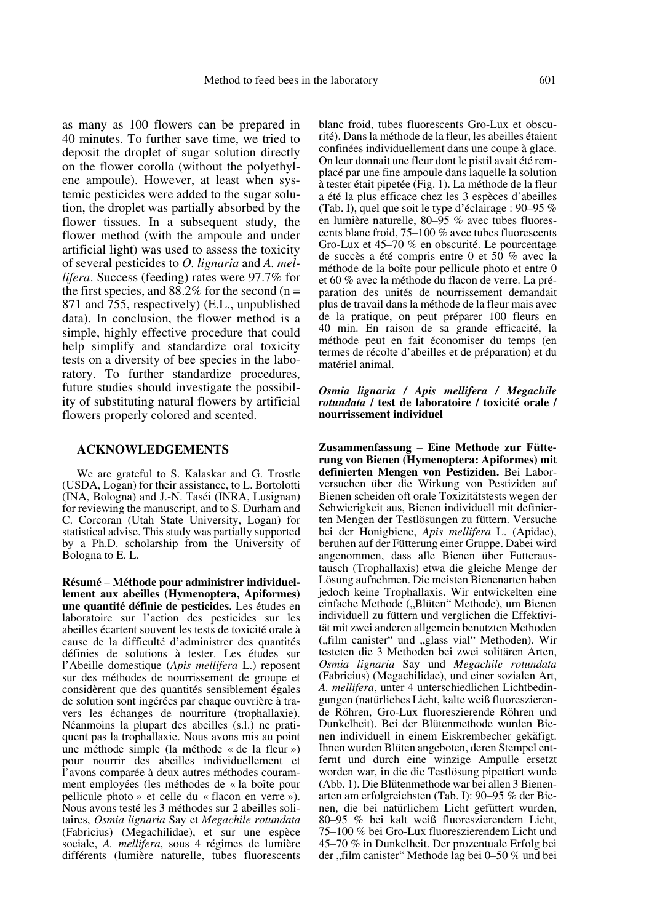as many as 100 flowers can be prepared in 40 minutes. To further save time, we tried to deposit the droplet of sugar solution directly on the flower corolla (without the polyethylene ampoule). However, at least when systemic pesticides were added to the sugar solution, the droplet was partially absorbed by the flower tissues. In a subsequent study, the flower method (with the ampoule and under artificial light) was used to assess the toxicity of several pesticides to *O. lignaria* and *A. mellifera*. Success (feeding) rates were 97.7% for the first species, and  $88.2\%$  for the second (n = 871 and 755, respectively) (E.L., unpublished data). In conclusion, the flower method is a simple, highly effective procedure that could help simplify and standardize oral toxicity tests on a diversity of bee species in the laboratory. To further standardize procedures, future studies should investigate the possibility of substituting natural flowers by artificial flowers properly colored and scented.

### **ACKNOWLEDGEMENTS**

We are grateful to S. Kalaskar and G. Trostle (USDA, Logan) for their assistance, to L. Bortolotti (INA, Bologna) and J.-N. Taséi (INRA, Lusignan) for reviewing the manuscript, and to S. Durham and C. Corcoran (Utah State University, Logan) for statistical advise. This study was partially supported by a Ph.D. scholarship from the University of Bologna to E. L.

**Résumé** – **Méthode pour administrer individuellement aux abeilles (Hymenoptera, Apiformes) une quantité définie de pesticides.** Les études en laboratoire sur l'action des pesticides sur les abeilles écartent souvent les tests de toxicité orale à cause de la difficulté d'administrer des quantités définies de solutions à tester. Les études sur l'Abeille domestique (*Apis mellifera* L.) reposent sur des méthodes de nourrissement de groupe et considèrent que des quantités sensiblement égales de solution sont ingérées par chaque ouvrière à travers les échanges de nourriture (trophallaxie). Néanmoins la plupart des abeilles (s.l.) ne pratiquent pas la trophallaxie. Nous avons mis au point une méthode simple (la méthode « de la fleur ») pour nourrir des abeilles individuellement et l'avons comparée à deux autres méthodes couramment employées (les méthodes de « la boîte pour pellicule photo » et celle du « flacon en verre »). Nous avons testé les 3 méthodes sur 2 abeilles solitaires, *Osmia lignaria* Say et *Megachile rotundata* (Fabricius) (Megachilidae), et sur une espèce sociale, *A. mellifera*, sous 4 régimes de lumière différents (lumière naturelle, tubes fluorescents blanc froid, tubes fluorescents Gro-Lux et obscurité). Dans la méthode de la fleur, les abeilles étaient confinées individuellement dans une coupe à glace. On leur donnait une fleur dont le pistil avait été remplacé par une fine ampoule dans laquelle la solution à tester était pipetée (Fig. 1). La méthode de la fleur a été la plus efficace chez les 3 espèces d'abeilles (Tab. I), quel que soit le type d'éclairage : 90–95 % en lumière naturelle, 80–95 % avec tubes fluorescents blanc froid, 75–100 % avec tubes fluorescents Gro-Lux et 45–70 % en obscurité. Le pourcentage de succès a été compris entre 0 et 50 % avec la méthode de la boîte pour pellicule photo et entre 0 et 60 % avec la méthode du flacon de verre. La préparation des unités de nourrissement demandait plus de travail dans la méthode de la fleur mais avec de la pratique, on peut préparer 100 fleurs en 40 min. En raison de sa grande efficacité, la méthode peut en fait économiser du temps (en termes de récolte d'abeilles et de préparation) et du matériel animal.

#### *Osmia lignaria / Apis mellifera / Megachile rotundata* **/ test de laboratoire / toxicité orale / nourrissement individuel**

**Zusammenfassung** – **Eine Methode zur Fütterung von Bienen (Hymenoptera: Apiformes) mit definierten Mengen von Pestiziden.** Bei Laborversuchen über die Wirkung von Pestiziden auf Bienen scheiden oft orale Toxizitätstests wegen der Schwierigkeit aus, Bienen individuell mit definierten Mengen der Testlösungen zu füttern. Versuche bei der Honigbiene, *Apis mellifera* L. (Apidae), beruhen auf der Fütterung einer Gruppe. Dabei wird angenommen, dass alle Bienen über Futteraustausch (Trophallaxis) etwa die gleiche Menge der Lösung aufnehmen. Die meisten Bienenarten haben jedoch keine Trophallaxis. Wir entwickelten eine einfache Methode ("Blüten" Methode), um Bienen individuell zu füttern und verglichen die Effektivität mit zwei anderen allgemein benutzten Methoden ("film canister" und "glass vial" Methoden). Wir testeten die 3 Methoden bei zwei solitären Arten, *Osmia lignaria* Say und *Megachile rotundata* (Fabricius) (Megachilidae), und einer sozialen Art, *A. mellifera*, unter 4 unterschiedlichen Lichtbedingungen (natürliches Licht, kalte weiß fluoreszierende Röhren, Gro-Lux fluoreszierende Röhren und Dunkelheit). Bei der Blütenmethode wurden Bienen individuell in einem Eiskrembecher gekäfigt. Ihnen wurden Blüten angeboten, deren Stempel entfernt und durch eine winzige Ampulle ersetzt worden war, in die die Testlösung pipettiert wurde (Abb. 1). Die Blütenmethode war bei allen 3 Bienenarten am erfolgreichsten (Tab. I): 90–95 % der Bienen, die bei natürlichem Licht gefüttert wurden, 80–95 % bei kalt weiß fluoreszierendem Licht, 75–100 % bei Gro-Lux fluoreszierendem Licht und 45–70 % in Dunkelheit. Der prozentuale Erfolg bei der "film canister" Methode lag bei 0–50 % und bei